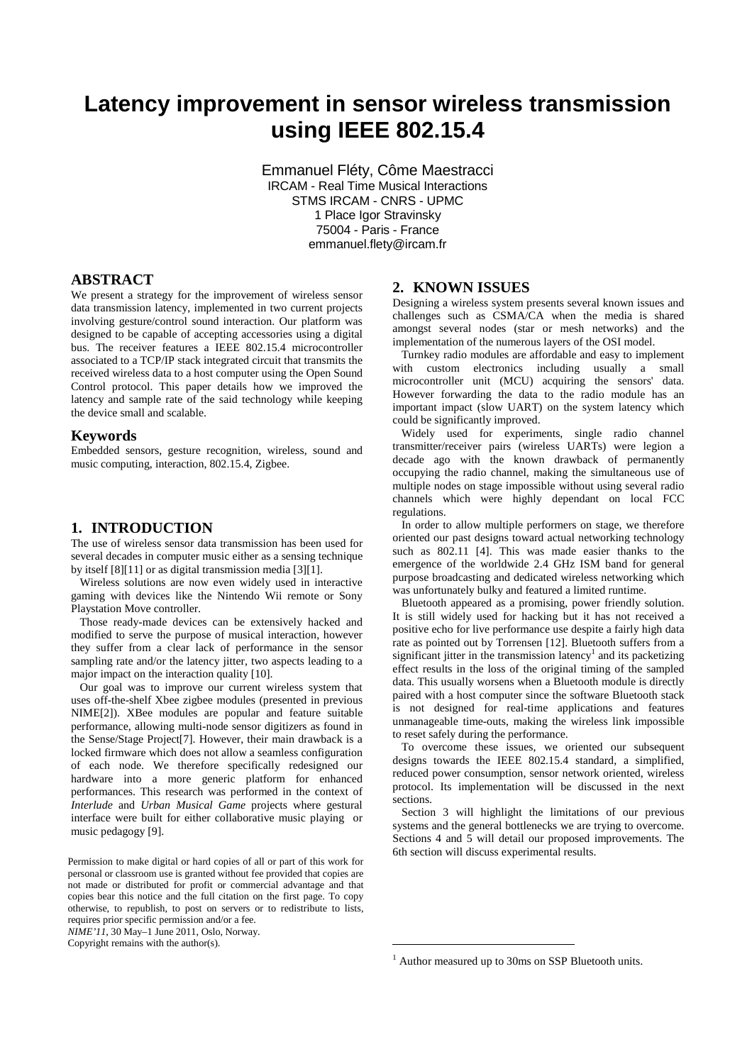# **Latency improvement in sensor wireless transmission using IEEE 802.15.4**

Emmanuel Fléty, Côme Maestracci IRCAM - Real Time Musical Interactions STMS IRCAM - CNRS - UPMC 1 Place Igor Stravinsky 75004 - Paris - France emmanuel.flety@ircam.fr

## **ABSTRACT**

We present a strategy for the improvement of wireless sensor data transmission latency, implemented in two current projects involving gesture/control sound interaction. Our platform was designed to be capable of accepting accessories using a digital bus. The receiver features a IEEE 802.15.4 microcontroller associated to a TCP/IP stack integrated circuit that transmits the received wireless data to a host computer using the Open Sound Control protocol. This paper details how we improved the latency and sample rate of the said technology while keeping the device small and scalable.

#### **Keywords**

Embedded sensors, gesture recognition, wireless, sound and music computing, interaction, 802.15.4, Zigbee.

## **1. INTRODUCTION**

The use of wireless sensor data transmission has been used for several decades in computer music either as a sensing technique by itself [8][11] or as digital transmission media [3][1].

Wireless solutions are now even widely used in interactive gaming with devices like the Nintendo Wii remote or Sony Playstation Move controller.

Those ready-made devices can be extensively hacked and modified to serve the purpose of musical interaction, however they suffer from a clear lack of performance in the sensor sampling rate and/or the latency jitter, two aspects leading to a major impact on the interaction quality [10].

Our goal was to improve our current wireless system that uses off-the-shelf Xbee zigbee modules (presented in previous NIME[2]). XBee modules are popular and feature suitable performance, allowing multi-node sensor digitizers as found in the Sense/Stage Project[7]. However, their main drawback is a locked firmware which does not allow a seamless configuration of each node. We therefore specifically redesigned our hardware into a more generic platform for enhanced performances. This research was performed in the context of *Interlude* and *Urban Musical Game* projects where gestural interface were built for either collaborative music playing or music pedagogy [9].

*NIME'11*, 30 May–1 June 2011, Oslo, Norway.

Copyright remains with the author(s).

#### **2. KNOWN ISSUES**

Designing a wireless system presents several known issues and challenges such as CSMA/CA when the media is shared amongst several nodes (star or mesh networks) and the implementation of the numerous layers of the OSI model.

Turnkey radio modules are affordable and easy to implement with custom electronics including usually a small microcontroller unit (MCU) acquiring the sensors' data. However forwarding the data to the radio module has an important impact (slow UART) on the system latency which could be significantly improved.

Widely used for experiments, single radio channel transmitter/receiver pairs (wireless UARTs) were legion a decade ago with the known drawback of permanently occupying the radio channel, making the simultaneous use of multiple nodes on stage impossible without using several radio channels which were highly dependant on local FCC regulations.

In order to allow multiple performers on stage, we therefore oriented our past designs toward actual networking technology such as 802.11 [4]. This was made easier thanks to the emergence of the worldwide 2.4 GHz ISM band for general purpose broadcasting and dedicated wireless networking which was unfortunately bulky and featured a limited runtime.

Bluetooth appeared as a promising, power friendly solution. It is still widely used for hacking but it has not received a positive echo for live performance use despite a fairly high data rate as pointed out by Torrensen [12]. Bluetooth suffers from a significant jitter in the transmission latency<sup>1</sup> and its packetizing effect results in the loss of the original timing of the sampled data. This usually worsens when a Bluetooth module is directly paired with a host computer since the software Bluetooth stack is not designed for real-time applications and features unmanageable time-outs, making the wireless link impossible to reset safely during the performance.

To overcome these issues, we oriented our subsequent designs towards the IEEE 802.15.4 standard, a simplified, reduced power consumption, sensor network oriented, wireless protocol. Its implementation will be discussed in the next sections.

Section 3 will highlight the limitations of our previous systems and the general bottlenecks we are trying to overcome. Sections 4 and 5 will detail our proposed improvements. The 6th section will discuss experimental results.

 $\overline{a}$ 

Permission to make digital or hard copies of all or part of this work for personal or classroom use is granted without fee provided that copies are not made or distributed for profit or commercial advantage and that copies bear this notice and the full citation on the first page. To copy otherwise, to republish, to post on servers or to redistribute to lists, requires prior specific permission and/or a fee.

<sup>&</sup>lt;sup>1</sup> Author measured up to 30ms on SSP Bluetooth units.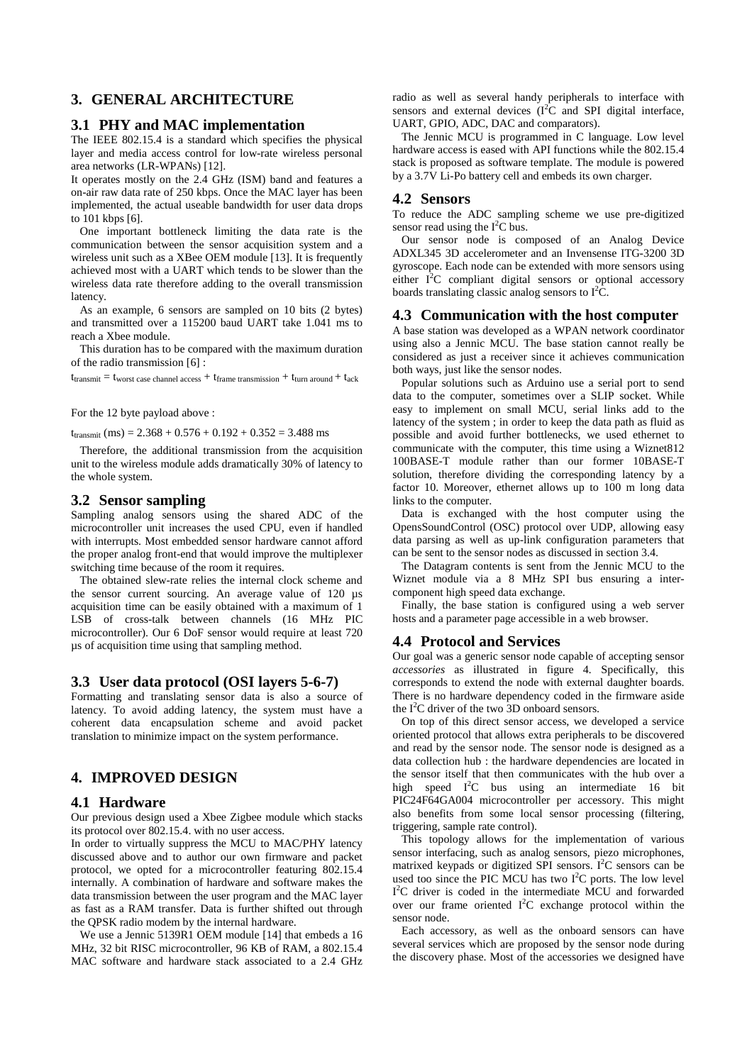# **3. GENERAL ARCHITECTURE**

#### **3.1 PHY and MAC implementation**

The IEEE 802.15.4 is a standard which specifies the physical layer and media access control for low-rate wireless personal area networks (LR-WPANs) [12].

It operates mostly on the 2.4 GHz (ISM) band and features a on-air raw data rate of 250 kbps. Once the MAC layer has been implemented, the actual useable bandwidth for user data drops to 101 kbps [6].

One important bottleneck limiting the data rate is the communication between the sensor acquisition system and a wireless unit such as a XBee OEM module [13]. It is frequently achieved most with a UART which tends to be slower than the wireless data rate therefore adding to the overall transmission latency.

As an example, 6 sensors are sampled on 10 bits (2 bytes) and transmitted over a 115200 baud UART take 1.041 ms to reach a Xbee module.

This duration has to be compared with the maximum duration of the radio transmission [6] :

 $t_{transmit} = t_{worst}$  case channel access +  $t_{frame}$  transmission +  $t_{turn}$  around +  $t_{ack}$ 

For the 12 byte payload above :

 $t_{transmit}$  (ms) = 2.368 + 0.576 + 0.192 + 0.352 = 3.488 ms

Therefore, the additional transmission from the acquisition unit to the wireless module adds dramatically 30% of latency to the whole system.

#### **3.2 Sensor sampling**

Sampling analog sensors using the shared ADC of the microcontroller unit increases the used CPU, even if handled with interrupts. Most embedded sensor hardware cannot afford the proper analog front-end that would improve the multiplexer switching time because of the room it requires.

The obtained slew-rate relies the internal clock scheme and the sensor current sourcing. An average value of 120 µs acquisition time can be easily obtained with a maximum of 1 LSB of cross-talk between channels (16 MHz PIC microcontroller). Our 6 DoF sensor would require at least 720 µs of acquisition time using that sampling method.

#### **3.3 User data protocol (OSI layers 5-6-7)**

Formatting and translating sensor data is also a source of latency. To avoid adding latency, the system must have a coherent data encapsulation scheme and avoid packet translation to minimize impact on the system performance.

# **4. IMPROVED DESIGN**

#### **4.1 Hardware**

Our previous design used a Xbee Zigbee module which stacks its protocol over 802.15.4. with no user access.

In order to virtually suppress the MCU to MAC/PHY latency discussed above and to author our own firmware and packet protocol, we opted for a microcontroller featuring 802.15.4 internally. A combination of hardware and software makes the data transmission between the user program and the MAC layer as fast as a RAM transfer. Data is further shifted out through the QPSK radio modem by the internal hardware.

We use a Jennic 5139R1 OEM module [14] that embeds a 16 MHz, 32 bit RISC microcontroller, 96 KB of RAM, a 802.15.4 MAC software and hardware stack associated to a 2.4 GHz radio as well as several handy peripherals to interface with sensors and external devices  $(I^2C)$  and SPI digital interface, UART, GPIO, ADC, DAC and comparators).

The Jennic MCU is programmed in C language. Low level hardware access is eased with API functions while the 802.15.4 stack is proposed as software template. The module is powered by a 3.7V Li-Po battery cell and embeds its own charger.

#### **4.2 Sensors**

To reduce the ADC sampling scheme we use pre-digitized sensor read using the  $I<sup>2</sup>C$  bus.

Our sensor node is composed of an Analog Device ADXL345 3D accelerometer and an Invensense ITG-3200 3D gyroscope. Each node can be extended with more sensors using either  $I^2C$  compliant digital sensors or optional accessory boards translating classic analog sensors to  $I^2C$ .

#### **4.3 Communication with the host computer**

A base station was developed as a WPAN network coordinator using also a Jennic MCU. The base station cannot really be considered as just a receiver since it achieves communication both ways, just like the sensor nodes.

Popular solutions such as Arduino use a serial port to send data to the computer, sometimes over a SLIP socket. While easy to implement on small MCU, serial links add to the latency of the system ; in order to keep the data path as fluid as possible and avoid further bottlenecks, we used ethernet to communicate with the computer, this time using a Wiznet812 100BASE-T module rather than our former 10BASE-T solution, therefore dividing the corresponding latency by a factor 10. Moreover, ethernet allows up to 100 m long data links to the computer.

Data is exchanged with the host computer using the OpensSoundControl (OSC) protocol over UDP, allowing easy data parsing as well as up-link configuration parameters that can be sent to the sensor nodes as discussed in section 3.4.

The Datagram contents is sent from the Jennic MCU to the Wiznet module via a 8 MHz SPI bus ensuring a intercomponent high speed data exchange.

Finally, the base station is configured using a web server hosts and a parameter page accessible in a web browser.

#### **4.4 Protocol and Services**

Our goal was a generic sensor node capable of accepting sensor *accessories* as illustrated in figure 4*.* Specifically, this corresponds to extend the node with external daughter boards. There is no hardware dependency coded in the firmware aside the  $I<sup>2</sup>C$  driver of the two 3D onboard sensors.

On top of this direct sensor access, we developed a service oriented protocol that allows extra peripherals to be discovered and read by the sensor node. The sensor node is designed as a data collection hub : the hardware dependencies are located in the sensor itself that then communicates with the hub over a high speed  $I^2C$  bus using an intermediate 16 bit PIC24F64GA004 microcontroller per accessory. This might also benefits from some local sensor processing (filtering, triggering, sample rate control).

This topology allows for the implementation of various sensor interfacing, such as analog sensors, piezo microphones, matrixed keypads or digitized SPI sensors. I<sup>2</sup>C sensors can be used too since the PIC MCU has two  $I<sup>2</sup>C$  ports. The low level I<sup>2</sup>C driver is coded in the intermediate MCU and forwarded over our frame oriented  $I^2C$  exchange protocol within the sensor node.

Each accessory, as well as the onboard sensors can have several services which are proposed by the sensor node during the discovery phase. Most of the accessories we designed have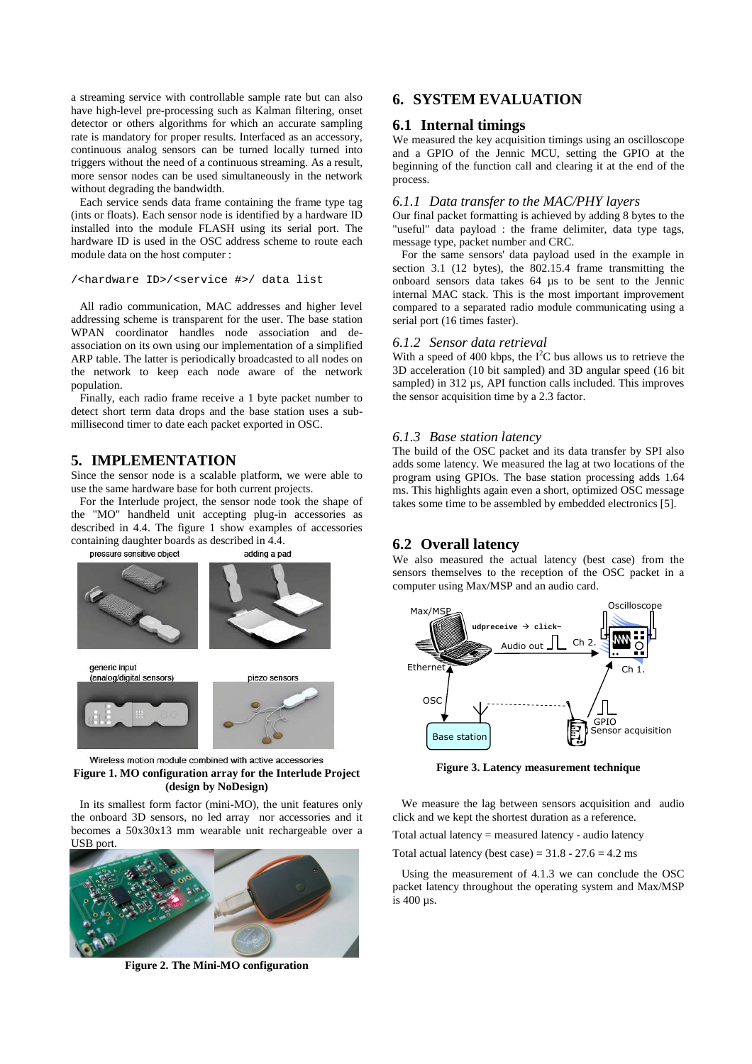a streaming service with controllable sample rate but can also have high-level pre-processing such as Kalman filtering, onset detector or others algorithms for which an accurate sampling rate is mandatory for proper results. Interfaced as an accessory, continuous analog sensors can be turned locally turned into triggers without the need of a continuous streaming. As a result, more sensor nodes can be used simultaneously in the network without degrading the bandwidth.

Each service sends data frame containing the frame type tag (ints or floats). Each sensor node is identified by a hardware ID installed into the module FLASH using its serial port. The hardware ID is used in the OSC address scheme to route each module data on the host computer :

```
/<hardware ID>/<service #>/ data list
```
All radio communication, MAC addresses and higher level addressing scheme is transparent for the user. The base station WPAN coordinator handles node association and deassociation on its own using our implementation of a simplified ARP table. The latter is periodically broadcasted to all nodes on the network to keep each node aware of the network population.

Finally, each radio frame receive a 1 byte packet number to detect short term data drops and the base station uses a submillisecond timer to date each packet exported in OSC.

# **5. IMPLEMENTATION**

Since the sensor node is a scalable platform, we were able to use the same hardware base for both current projects.

For the Interlude project, the sensor node took the shape of the "MO" handheld unit accepting plug-in accessories as described in 4.4. The figure 1 show examples of accessories containing daughter boards as described in 4.4.





Wireless motion module combined with active accessories **Figure 1. MO configuration array for the Interlude Project (design by NoDesign)** 

In its smallest form factor (mini-MO), the unit features only the onboard 3D sensors, no led array nor accessories and it becomes a 50x30x13 mm wearable unit rechargeable over a USB port.



**Figure 2. The Mini-MO configuration** 

# **6. SYSTEM EVALUATION**

## **6.1 Internal timings**

We measured the key acquisition timings using an oscilloscope and a GPIO of the Jennic MCU, setting the GPIO at the beginning of the function call and clearing it at the end of the process.

#### *6.1.1 Data transfer to the MAC/PHY layers*

Our final packet formatting is achieved by adding 8 bytes to the "useful" data payload : the frame delimiter, data type tags, message type, packet number and CRC.

For the same sensors' data payload used in the example in section 3.1 (12 bytes), the 802.15.4 frame transmitting the onboard sensors data takes 64 µs to be sent to the Jennic internal MAC stack. This is the most important improvement compared to a separated radio module communicating using a serial port (16 times faster).

#### *6.1.2 Sensor data retrieval*

With a speed of 400 kbps, the  $I<sup>2</sup>C$  bus allows us to retrieve the 3D acceleration (10 bit sampled) and 3D angular speed (16 bit sampled) in 312 us, API function calls included. This improves the sensor acquisition time by a 2.3 factor.

#### *6.1.3 Base station latency*

The build of the OSC packet and its data transfer by SPI also adds some latency. We measured the lag at two locations of the program using GPIOs. The base station processing adds 1.64 ms. This highlights again even a short, optimized OSC message takes some time to be assembled by embedded electronics [5].

# **6.2 Overall latency**

We also measured the actual latency (best case) from the sensors themselves to the reception of the OSC packet in a computer using Max/MSP and an audio card.



**Figure 3. Latency measurement technique** 

We measure the lag between sensors acquisition and audio click and we kept the shortest duration as a reference.

Total actual latency = measured latency - audio latency

Total actual latency (best case) =  $31.8 - 27.6 = 4.2$  ms

Using the measurement of 4.1.3 we can conclude the OSC packet latency throughout the operating system and Max/MSP is 400 µs.